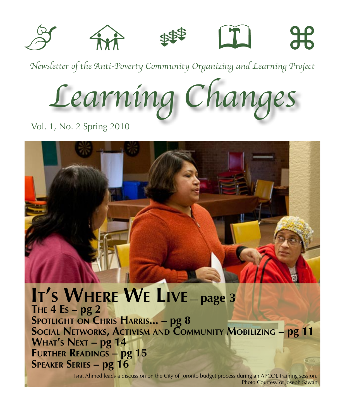

*Newsletter of the Anti-Poverty Community Organizing and Learning Project*

*Learning Changes*

Vol. 1, No. 2 Spring 2010

**it's where w<sup>e</sup> live — page 3 The 4 Es – pg 2 Spotlight on Chris Harris... – pg 8 Social Networks, Activism and Community Mobilizing – pg 11 What's Next – pg 14 Further Readings – pg 15 Speaker Series – pg 16**

Israt Ahmed leads a discussion on the City of Toronto budget process during an APCOL training session. Photo Courtesy of Joseph Sawan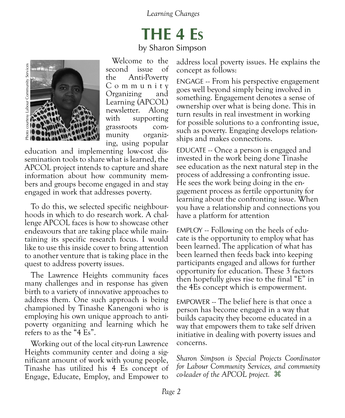# **THE 4 Es**

by Sharon Simpson



Welcome to the second issue of the Anti-Poverty C o m m u n i t y Organizing and Learning (APCOL) newsletter. Along with supporting grassroots com-<br>
munity organiz-<br>
ing, using popular

education and implementing low-cost dis- semination tools to share what is learned, the APCOL project intends to capture and share information about how community mem- bers and groups become engaged in and stay engaged in work that addresses poverty.

To do this, we selected specific neighbourhoods in which to do research work. A challenge APCOL faces is how to showcase other endeavours that are taking place while maintaining its specific research focus. I would like to use this inside cover to bring attention to another venture that is taking place in the quest to address poverty issues.

The Lawrence Heights community faces many challenges and in response has given birth to a variety of innovative approaches to address them. One such approach is being championed by Tinashe Kanengoni who is employing his own unique approach to antipoverty organizing and learning which he refers to as the "4 Es".

Working out of the local city-run Lawrence Heights community center and doing a significant amount of work with young people, Tinashe has utilized his 4 Es concept of Engage, Educate, Employ, and Empower to address local poverty issues. He explains the concept as follows:

Engage -- From his perspective engagement goes well beyond simply being involved in something. Engagement denotes a sense of ownership over what is being done. This in turn results in real investment in working for possible solutions to a confronting issue, such as poverty. Engaging develops relationships and makes connections.

Educate -- Once a person is engaged and invested in the work being done Tinashe see education as the next natural step in the process of addressing a confronting issue. He sees the work being doing in the en- gagement process as fertile opportunity for learning about the confronting issue. When you have a relationship and connections you have a platform for attention

Employ -- Following on the heels of edu- cate is the opportunity to employ what has been learned. The application of what has been learned then feeds back into keeping participants engaged and allows for further opportunity for education. These 3 factors then hopefully gives rise to the final "E" in the 4Es concept which is empowerment.

Empower -- The belief here is that once a person has become engaged in a way that builds capacity they become educated in a way that empowers them to take self driven initiative in dealing with poverty issues and concerns.

*Sharon Simpson is Special Projects Coordinator for Labour Community Services, and community co-leader of the APCOL project.* z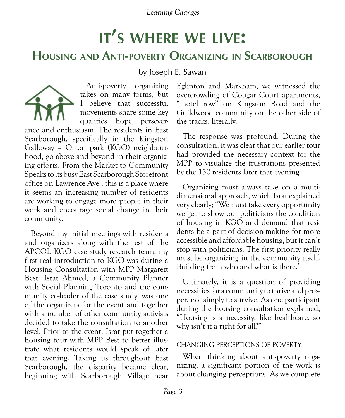# **it's where we live:**

#### **Housing and Anti-poverty Organizing in Scarborough**

by Joseph E. Sawan



Anti-poverty organizing takes on many forms, but I believe that successful movements share some key qualities: hope, persever-

ance and enthusiasm. The residents in East Scarborough, specifically in the Kingston Galloway – Orton park (KGO) neighbourhood, go above and beyond in their organizing efforts. From the Market to Community Speaks to its busy East Scarborough Storefront office on Lawrence Ave., this is a place where it seems an increasing number of residents are working to engage more people in their work and encourage social change in their community.

Beyond my initial meetings with residents and organizers along with the rest of the APCOL KGO case study research team, my first real introduction to KGO was during a Housing Consultation with MPP Margarett Best. Israt Ahmed, a Community Planner with Social Planning Toronto and the community co-leader of the case study, was one of the organizers for the event and together with a number of other community activists decided to take the consultation to another level. Prior to the event, Israt put together a housing tour with MPP Best to better illustrate what residents would speak of later that evening. Taking us throughout East Scarborough, the disparity became clear, beginning with Scarborough Village near

Eglinton and Markham, we witnessed the overcrowding of Cougar Court apartments, "motel row" on Kingston Road and the Guildwood community on the other side of the tracks, literally.

The response was profound. During the consultation, it was clear that our earlier tour had provided the necessary context for the MPP to visualize the frustrations presented by the 150 residents later that evening.

Organizing must always take on a multidimensional approach, which Israt explained very clearly; "We must take every opportunity we get to show our politicians the condition of housing in KGO and demand that residents be a part of decision-making for more accessible and affordable housing, but it can't stop with politicians. The first priority really must be organizing in the community itself. Building from who and what is there."

Ultimately, it is a question of providing necessities for a community to thrive and prosper, not simply to survive. As one participant during the housing consultation explained, "Housing is a necessity, like healthcare, so why isn't it a right for all?"

#### Changing Perceptions of Poverty

When thinking about anti-poverty organizing, a significant portion of the work is about changing perceptions. As we complete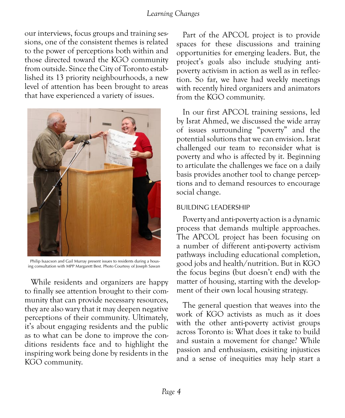our interviews, focus groups and training sessions, one of the consistent themes is related to the power of perceptions both within and those directed toward the KGO community from outside. Since the City of Toronto established its 13 priority neighbourhoods, a new level of attention has been brought to areas that have experienced a variety of issues.



Philip Isaacson and Gail Murray present issues to residents during a housing consultation with MPP Margarett Best. Photo Courtesy of Joseph Sawan

While residents and organizers are happy to finally see attention brought to their community that can provide necessary resources, they are also wary that it may deepen negative perceptions of their community. Ultimately, it's about engaging residents and the public as to what can be done to improve the conditions residents face and to highlight the inspiring work being done by residents in the KGO community.

Part of the APCOL project is to provide spaces for these discussions and training opportunities for emerging leaders. But, the project's goals also include studying antipoverty activism in action as well as in reflection. So far, we have had weekly meetings with recently hired organizers and animators from the KGO community.

In our first APCOL training sessions, led by Israt Ahmed, we discussed the wide array of issues surrounding "poverty" and the potential solutions that we can envision. Israt challenged our team to reconsider what is poverty and who is affected by it. Beginning to articulate the challenges we face on a daily basis provides another tool to change perceptions and to demand resources to encourage social change.

#### Building Leadership

Poverty and anti-poverty action is a dynamic process that demands multiple approaches. The APCOL project has been focusing on a number of different anti-poverty activism pathways including educational completion, good jobs and health/nutrition. But in KGO the focus begins (but doesn't end) with the matter of housing, starting with the development of their own local housing strategy.

The general question that weaves into the work of KGO activists as much as it does with the other anti-poverty activist groups across Toronto is: What does it take to build and sustain a movement for change? While passion and enthusiasm, exisiting injustices and a sense of inequities may help start a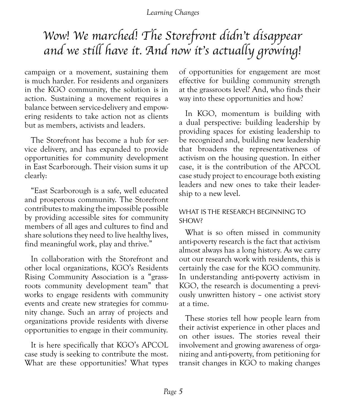### *Wow! We marched! The Storefront didn't disappear and we still have it. And now it's actually growing!*

campaign or a movement, sustaining them is much harder. For residents and organizers in the KGO community, the solution is in action. Sustaining a movement requires a balance between service-delivery and empowering residents to take action not as clients but as members, activists and leaders.

The Storefront has become a hub for service delivery, and has expanded to provide opportunities for community development in East Scarborough. Their vision sums it up clearly:

"East Scarborough is a safe, well educated and prosperous community. The Storefront contributes to making the impossible possible by providing accessible sites for community members of all ages and cultures to find and share solutions they need to live healthy lives, find meaningful work, play and thrive."

In collaboration with the Storefront and other local organizations, KGO's Residents Rising Community Association is a "grassroots community development team" that works to engage residents with community events and create new strategies for community change. Such an array of projects and organizations provide residents with diverse opportunities to engage in their community.

It is here specifically that KGO's APCOL case study is seeking to contribute the most. What are these opportunities? What types

of opportunities for engagement are most effective for building community strength at the grassroots level? And, who finds their way into these opportunities and how?

In KGO, momentum is building with a dual perspective: building leadership by providing spaces for existing leadership to be recognized and, building new leadership that broadens the representativeness of activism on the housing question. In either case, it is the contribution of the APCOL case study project to encourage both existing leaders and new ones to take their leadership to a new level.

#### WHAT IS THE RESEARCH BEGINNING TO SHOW?

What is so often missed in community anti-poverty research is the fact that activism almost always has a long history. As we carry out our research work with residents, this is certainly the case for the KGO community. In understanding anti-poverty activism in KGO, the research is documenting a previously unwritten history – one activist story at a time.

These stories tell how people learn from their activist experience in other places and on other issues. The stories reveal their involvement and growing awareness of organizing and anti-poverty, from petitioning for transit changes in KGO to making changes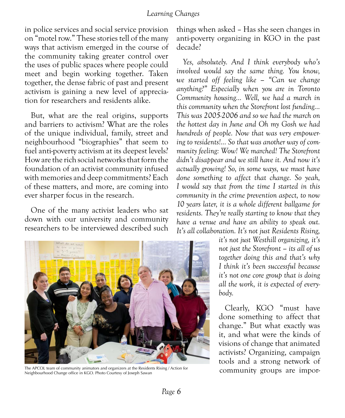in police services and social service provision on "motel row." These stories tell of the many ways that activism emerged in the course of the community taking greater control over the uses of public spaces where people could meet and begin working together. Taken together, the dense fabric of past and present activism is gaining a new level of appreciation for researchers and residents alike.

But, what are the real origins, supports and barriers to activism? What are the roles of the unique individual, family, street and neighbourhood "biographies" that seem to fuel anti-poverty activism at its deepest levels? How are the rich social networks that form the foundation of an activist community infused with memories and deep commitments? Each of these matters, and more, are coming into ever sharper focus in the research.

One of the many activist leaders who sat down with our university and community researchers to be interviewed described such



The APCOL team of community animators and organizers at the Residents Rising / Action for Neighbourhood Change office in KGO. Photo Courtesy of Joseph Sawan

things when asked – Has she seen changes in anti-poverty organizing in KGO in the past decade?

*Yes, absolutely. And I think everybody who's involved would say the same thing. You know, we started off feeling like – "Can we change anything?" Especially when you are in Toronto Community housing... Well, we had a march in this community when the Storefront lost funding... This was 2005-2006 and so we had the march on the hottest day in June and Oh my Gosh we had hundreds of people. Now that was very empowering to residents!... So that was another way of community feeling: Wow! We marched! The Storefront didn't disappear and we still have it. And now it's actually growing! So, in some ways, we must have done something to affect that change. So yeah, I would say that from the time I started in this community in the crime prevention aspect, to now 10 years later, it is a whole different ballgame for residents. They're really starting to know that they have a venue and have an ability to speak out. It's all collaboration. It's not just Residents Rising,* 

> *it's not just Westhill organizing, it's not just the Storefront – its all of us together doing this and that's why I think it's been successful because it's not one core group that is doing all the work, it is expected of everybody.*

> Clearly, KGO "must have done something to affect that change." But what exactly was it, and what were the kinds of visions of change that animated activists? Organizing, campaign tools and a strong network of community groups are impor-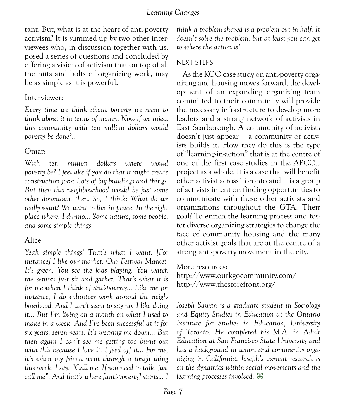tant. But, what is at the heart of anti-poverty activism? It is summed up by two other interviewees who, in discussion together with us, posed a series of questions and concluded by offering a vision of activism that on top of all the nuts and bolts of organizing work, may be as simple as it is powerful.

#### Interviewer:

*Every time we think about poverty we seem to think about it in terms of money. Now if we inject this community with ten million dollars would poverty be done?...* 

#### Omar:

*With ten million dollars where would poverty be? I feel like if you do that it might create construction jobs: Lots of big buildings and things. But then this neighbourhood would be just some other downtown then. So, I think: What do we really want? We want to live in peace. In the right place where, I dunno... Some nature, some people, and some simple things.*

#### Alice:

*Yeah simple things! That's what I want. [For instance] I like our market. Our Festival Market. It's green. You see the kids playing. You watch the seniors just sit and gather. That's what it is for me when I think of anti-poverty... Like me for instance, I do volunteer work around the neighbourhood. And I can't seem to say no. I like doing it... But I'm living on a month on what I used to make in a week. And I've been successful at it for six years, seven years. It's wearing me down... But then again I can't see me getting too burnt out with this because I love it. I feed off it... For me, it's when my friend went through a tough thing this week. I say, "Call me. If you need to talk, just call me". And that's where [anti-poverty] starts... I* 

*think a problem shared is a problem cut in half. It doesn't solve the problem, but at least you can get to where the action is!* 

#### Next Steps

As the KGO case study on anti-poverty organizing and housing moves forward, the development of an expanding organizing team committed to their community will provide the necessary infrastructure to develop more leaders and a strong network of activists in East Scarborough. A community of activists doesn't just appear – a community of activists builds it. How they do this is the type of "learning-in-action" that is at the centre of one of the first case studies in the APCOL project as a whole. It is a case that will benefit other activist across Toronto and it is a group of activists intent on finding opportunities to communicate with these other activists and organizations throughout the GTA. Their goal? To enrich the learning process and foster diverse organizing strategies to change the face of community housing and the many other activist goals that are at the centre of a strong anti-poverty movement in the city.

More resources:

<http://www.ourkgocommunity.com/> <http://www.thestorefront.org/>

*Joseph Sawan is a graduate student in Sociology and Equity Studies in Education at the Ontario Institute for Studies in Education, University of Toronto. He completed his M.A. in Adult Education at San Francisco State University and has a background in union and community organizing in California. Joseph's current research is on the dynamics within social movements and the learning processes involved.* z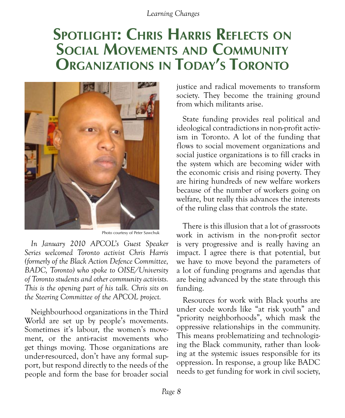### **Spotlight: Chris Harris Reflects on Social Movements and Community Organizations in Today's Toronto**



Photo courtesy of Peter Sawchuk

*In January 2010 APCOL's Guest Speaker Series welcomed Toronto activist Chris Harris (formerly of the Black Action Defence Committee, BADC, Toronto) who spoke to OISE/University of Toronto students and other community activists. This is the opening part of his talk. Chris sits on the Steering Committee of the APCOL project.*

Neighbourhood organizations in the Third World are set up by people's movements. Sometimes it's labour, the women's movement, or the anti-racist movements who get things moving. Those organizations are under-resourced, don't have any formal support, but respond directly to the needs of the people and form the base for broader social justice and radical movements to transform society. They become the training ground from which militants arise.

State funding provides real political and ideological contradictions in non-profit activism in Toronto. A lot of the funding that flows to social movement organizations and social justice organizations is to fill cracks in the system which are becoming wider with the economic crisis and rising poverty. They are hiring hundreds of new welfare workers because of the number of workers going on welfare, but really this advances the interests of the ruling class that controls the state.

There is this illusion that a lot of grassroots work in activism in the non-profit sector is very progressive and is really having an impact. I agree there is that potential, but we have to move beyond the parameters of a lot of funding programs and agendas that are being advanced by the state through this funding.

Resources for work with Black youths are under code words like "at risk youth" and "priority neighborhoods", which mask the oppressive relationships in the community. This means problematizing and technologizing the Black community, rather than looking at the systemic issues responsible for its oppression. In response, a group like BADC needs to get funding for work in civil society,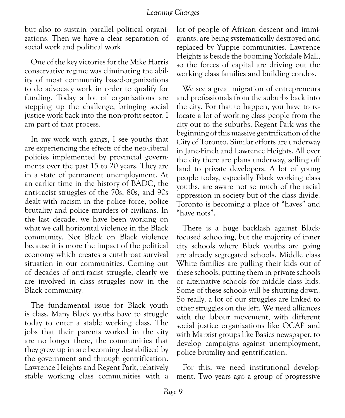but also to sustain parallel political organizations. Then we have a clear separation of social work and political work.

One of the key victories for the Mike Harris conservative regime was eliminating the ability of most community based-organizations to do advocacy work in order to qualify for funding. Today a lot of organizations are stepping up the challenge, bringing social justice work back into the non-profit sector. I am part of that process.

In my work with gangs, I see youths that are experiencing the effects of the neo-liberal policies implemented by provincial governments over the past 15 to 20 years. They are in a state of permanent unemployment. At an earlier time in the history of BADC, the anti-racist struggles of the 70s, 80s, and 90s dealt with racism in the police force, police brutality and police murders of civilians. In the last decade, we have been working on what we call horizontal violence in the Black community. Not Black on Black violence because it is more the impact of the political economy which creates a cut-throat survival situation in our communities. Coming out of decades of anti-racist struggle, clearly we are involved in class struggles now in the Black community.

The fundamental issue for Black youth is class. Many Black youths have to struggle today to enter a stable working class. The jobs that their parents worked in the city are no longer there, the communities that they grew up in are becoming destabilized by the government and through gentrification. Lawrence Heights and Regent Park, relatively stable working class communities with a

lot of people of African descent and immigrants, are being systematically destroyed and replaced by Yuppie communities. Lawrence Heights is beside the booming Yorkdale Mall, so the forces of capital are driving out the working class families and building condos.

We see a great migration of entrepreneurs and professionals from the suburbs back into the city. For that to happen, you have to relocate a lot of working class people from the city out to the suburbs. Regent Park was the beginning of this massive gentrification of the City of Toronto. Similar efforts are underway in Jane-Finch and Lawrence Heights. All over the city there are plans underway, selling off land to private developers. A lot of young people today, especially Black working class youths, are aware not so much of the racial oppression in society but of the class divide. Toronto is becoming a place of "haves" and "have nots".

There is a huge backlash against Blackfocused schooling, but the majority of inner city schools where Black youths are going are already segregated schools. Middle class White families are pulling their kids out of these schools, putting them in private schools or alternative schools for middle class kids. Some of these schools will be shutting down. So really, a lot of our struggles are linked to other struggles on the left. We need alliances with the labour movement, with different social justice organizations like OCAP and with Marxist groups like Basics newspaper, to develop campaigns against unemployment, police brutality and gentrification.

For this, we need institutional development. Two years ago a group of progressive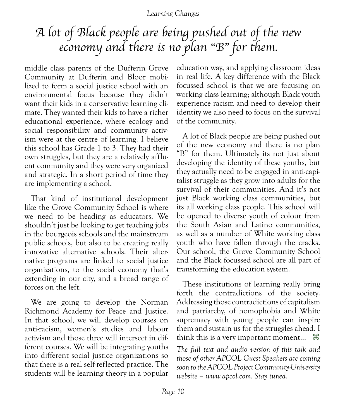### *A lot of Black people are being pushed out of the new economy and there is no plan "B" for them.*

middle class parents of the Dufferin Grove Community at Dufferin and Bloor mobilized to form a social justice school with an environmental focus because they didn't want their kids in a conservative learning climate. They wanted their kids to have a richer educational experience, where ecology and social responsibility and community activism were at the centre of learning. I believe this school has Grade 1 to 3. They had their own struggles, but they are a relatively affluent community and they were very organized and strategic. In a short period of time they are implementing a school.

That kind of institutional development like the Grove Community School is where we need to be heading as educators. We shouldn't just be looking to get teaching jobs in the bourgeois schools and the mainstream public schools, but also to be creating really innovative alternative schools. Their alternative programs are linked to social justice organizations, to the social economy that's extending in our city, and a broad range of forces on the left.

We are going to develop the Norman Richmond Academy for Peace and Justice. In that school, we will develop courses on anti-racism, women's studies and labour activism and those three will intersect in different courses. We will be integrating youths into different social justice organizations so that there is a real self-reflected practice. The students will be learning theory in a popular education way, and applying classroom ideas in real life. A key difference with the Black focussed school is that we are focusing on working class learning; although Black youth experience racism and need to develop their identity we also need to focus on the survival of the community.

A lot of Black people are being pushed out of the new economy and there is no plan "B" for them. Ultimately its not just about developing the identity of these youths, but they actually need to be engaged in anti-capitalist struggle as they grow into adults for the survival of their communities. And it's not just Black working class communities, but its all working class people. This school will be opened to diverse youth of colour from the South Asian and Latino communities, as well as a number of White working class youth who have fallen through the cracks. Our school, the Grove Community School and the Black focussed school are all part of transforming the education system.

These institutions of learning really bring forth the contradictions of the society. Addressing those contradictions of capitalism and patriarchy, of homophobia and White supremacy with young people can inspire them and sustain us for the struggles ahead. I think this is a very important moment...  $\mathcal{H}$ 

*The full text and audio version of this talk and those of other APCOL Guest Speakers are coming soon to the APCOL Project Community-University website – www.apcol.com. Stay tuned.*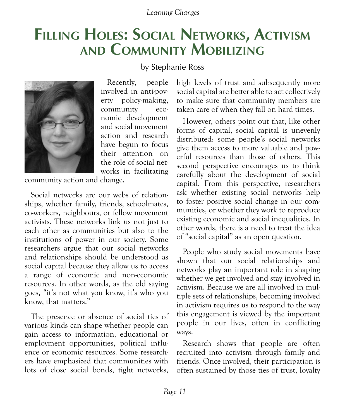### **Filling Holes: Social Networks, Activism and Community Mobilizing**

by Stephanie Ross



Recently, people involved in anti-poverty policy-making, community economic development and social movement action and research have begun to focus their attention on the role of social networks in facilitating

community action and change.

Social networks are our webs of relationships, whether family, friends, schoolmates, co-workers, neighbours, or fellow movement activists. These networks link us not just to each other as communities but also to the institutions of power in our society. Some researchers argue that our social networks and relationships should be understood as social capital because they allow us to access a range of economic and non-economic resources. In other words, as the old saying goes, "it's not what you know, it's who you know, that matters."

The presence or absence of social ties of various kinds can shape whether people can gain access to information, educational or employment opportunities, political influence or economic resources. Some researchers have emphasized that communities with lots of close social bonds, tight networks, high levels of trust and subsequently more social capital are better able to act collectively to make sure that community members are taken care of when they fall on hard times.

However, others point out that, like other forms of capital, social capital is unevenly distributed: some people's social networks give them access to more valuable and powerful resources than those of others. This second perspective encourages us to think carefully about the development of social capital. From this perspective, researchers ask whether existing social networks help to foster positive social change in our communities, or whether they work to reproduce existing economic and social inequalities. In other words, there is a need to treat the idea of "social capital" as an open question.

People who study social movements have shown that our social relationships and networks play an important role in shaping whether we get involved and stay involved in activism. Because we are all involved in multiple sets of relationships, becoming involved in activism requires us to respond to the way this engagement is viewed by the important people in our lives, often in conflicting ways.

Research shows that people are often recruited into activism through family and friends. Once involved, their participation is often sustained by those ties of trust, loyalty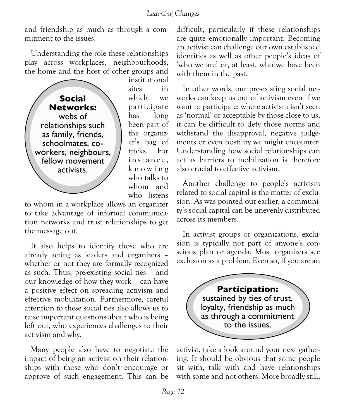and friendship as much as through a commitment to the issues.

Understanding the role these relationships play across workplaces, neighbourhoods, the home and the host of other groups and



institutional sites in which we participate has long been part of the organizer's bag of tricks. For instance. k n o w i n g who talks to whom and who listens

to whom in a workplace allows an organizer to take advantage of informal communication networks and trust relationships to get the message out.

It also helps to identify those who are already acting as leaders and organizers – whether or not they are formally recognized as such. Thus, pre-existing social ties – and our knowledge of how they work – can have a positive effect on spreading activism and effective mobilization. Furthermore, careful attention to these social ties also allows us to raise important questions about who is being left out, who experiences challenges to their activism and why.

Many people also have to negotiate the impact of being an activist on their relationships with those who don't encourage or approve of such engagement. This can be difficult, particularly if these relationships are quite emotionally important. Becoming an activist can challenge our own established identities as well as other people's ideas of 'who we are' or, at least, who we have been with them in the past.

In other words, our pre-existing social networks can keep us out of activism even if we want to participate: where activism isn't seen as 'normal' or acceptable by those close to us, it can be difficult to defy those norms and withstand the disapproval, negative judgements or even hostility we might encounter. Understanding how social relationships can act as barriers to mobilization is therefore also crucial to effective activism.

Another challenge to people's activism related to social capital is the matter of exclusion. As was pointed out earlier, a community's social capital can be unevenly distributed across its members.

In activist groups or organizations, exclusion is typically not part of anyone's conscious plan or agenda. Most organizers see exclusion as a problem. Even so, if you are an

> **Participation:**  sustained by ties of trust, loyalty, friendship as much as through a commitment to the issues.

activist, take a look around your next gathering. It should be obvious that some people sit with, talk with and have relationships with some and not others. More broadly still,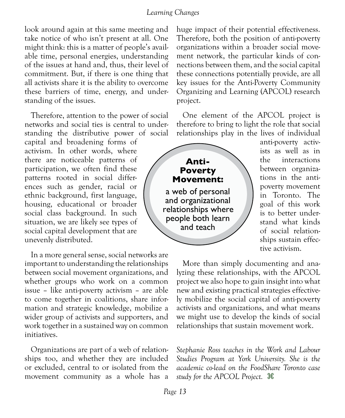look around again at this same meeting and take notice of who isn't present at all. One might think: this is a matter of people's available time, personal energies, understanding of the issues at hand and, thus, their level of commitment. But, if there is one thing that all activists share it is the ability to overcome these barriers of time, energy, and understanding of the issues.

Therefore, attention to the power of social networks and social ties is central to understanding the distributive power of social

capital and broadening forms of activism. In other words, where there are noticeable patterns of participation, we often find these patterns rooted in social differences such as gender, racial or ethnic background, first language, housing, educational or broader social class background. In such situation, we are likely see types of social capital development that are unevenly distributed.

In a more general sense, social networks are important to understanding the relationships between social movement organizations, and whether groups who work on a common issue – like anti-poverty activism – are able to come together in coalitions, share information and strategic knowledge, mobilize a wider group of activists and supporters, and work together in a sustained way on common initiatives.

Organizations are part of a web of relationships too, and whether they are included or excluded, central to or isolated from the movement community as a whole has a

huge impact of their potential effectiveness. Therefore, both the position of anti-poverty organizations within a broader social movement network, the particular kinds of connections between them, and the social capital these connections potentially provide, are all key issues for the Anti-Poverty Community Organizing and Learning (APCOL) research project.

One element of the APCOL project is therefore to bring to light the role that social relationships play in the lives of individual



anti-poverty activists as well as in the interactions between organizations in the antipoverty movement in Toronto. The goal of this work is to better understand what kinds of social relationships sustain effective activism.

More than simply documenting and analyzing these relationships, with the APCOL project we also hope to gain insight into what new and existing practical strategies effectively mobilize the social capital of anti-poverty activists and organizations, and what means we might use to develop the kinds of social relationships that sustain movement work.

*Stephanie Ross teaches in the Work and Labour Studies Program at York University. She is the academic co-lead on the FoodShare Toronto case study for the APCOL Project.* z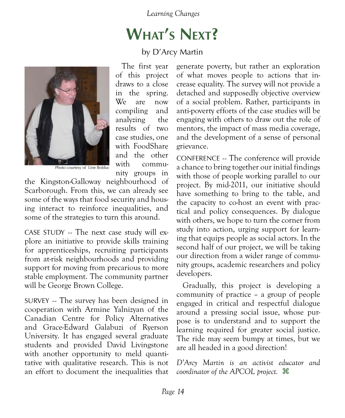## **What's Next?**

#### by D'Arcy Martin



The first year of this project draws to a close in the spring. We are now compiling and analyzing the results of two case studies, one with FoodShare and the other with community groups in

Photo courtesy of Line Bolduc

the Kingston-Galloway neighbourhood of Scarborough. From this, we can already see some of the ways that food security and housing interact to reinforce inequalities, and some of the strategies to turn this around.

CASE STUDY -- The next case study will explore an initiative to provide skills training for apprenticeships, recruiting participants from at-risk neighbourhoods and providing support for moving from precarious to more stable employment. The community partner will be George Brown College.

SURVEY -- The survey has been designed in cooperation with Armine Yalnizyan of the Canadian Centre for Policy Alternatives and Grace-Edward Galabuzi of Ryerson University. It has engaged several graduate students and provided David Livingstone with another opportunity to meld quantitative with qualitative research. This is not an effort to document the inequalities that generate poverty, but rather an exploration of what moves people to actions that increase equality. The survey will not provide a detached and supposedly objective overview of a social problem. Rather, participants in anti-poverty efforts of the case studies will be engaging with others to draw out the role of mentors, the impact of mass media coverage, and the development of a sense of personal grievance.

CONFERENCE -- The conference will provide a chance to bring together our initial findings with those of people working parallel to our project. By mid-2011, our initiative should have something to bring to the table, and the capacity to co-host an event with practical and policy consequences. By dialogue with others, we hope to turn the corner from study into action, urging support for learning that equips people as social actors. In the second half of our project, we will be taking our direction from a wider range of community groups, academic researchers and policy developers.

Gradually, this project is developing a community of practice – a group of people engaged in critical and respectful dialogue around a pressing social issue, whose purpose is to understand and to support the learning required for greater social justice. The ride may seem bumpy at times, but we are all headed in a good direction!

*D'Arcy Martin is an activist educator and coordinator of the APCOL project.* z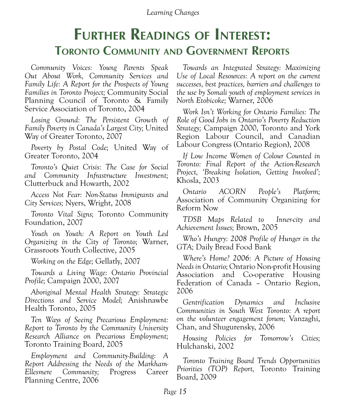### **Further Readings of Interest: Toronto Community and Government Reports**

*Community Voices: Young Parents Speak Out About Work, Community Services and Family Life: A Report for the Prospects of Young Families in Toronto Project;* Community Social Planning Council of Toronto & Family Service Association of Toronto, 2004

*Losing Ground: The Persistent Growth of Family Poverty in Canada's Largest City;* United Way of Greater Toronto, 2007

*Poverty by Postal Code;* United Way of Greater Toronto, 2004

*Toronto's Quiet Crisis: The Case for Social and Community Infrastructure Investment;*  Clutterbuck and Howarth, 2002

*Access Not Fear: Non-Status Immigrants and City Services;* Nyers, Wright, 2008

*Toronto Vital Signs;* Toronto Community Foundation, 2007

*Youth on Youth: A Report on Youth Led Organizing in the City of Toronto;* Warner, Grassroots Youth Collective, 2005

*Working on the Edge;* Gellatly, 2007

*Towards a Living Wage: Ontario Provincial Profile;* Campaign 2000, 2007

*Aboriginal Mental Health Strategy: Strategic Directions and Service Model;* Anishnawbe Health Toronto, 2005

*Ten Ways of Seeing Precarious Employment: Report to Toronto by the Community University Research Alliance on Precarious Employment;* Toronto Training Board, 2005

*Employment and Community-Building: A Report Addressing the Needs of the Markham-Ellesmere Community;* Progress Career Planning Centre, 2006

*Towards an Integrated Strategy: Maximizing Use of Local Resources: A report on the current successes, best practices, barriers and challenges to the use by Somali youth of employment services in North Etobicoke;* Warner, 2006

*Work Isn't Working for Ontario Families: The Role of Good Jobs in Ontario's Poverty Reduction Strategy;* Campaign 2000, Toronto and York Region Labour Council, and Canadian Labour Congress (Ontario Region), 2008

*If Low Income Women of Colour Counted in Toronto: Final Report of the Action-Research Project, 'Breaking Isolation, Getting Involved';*  Khosla, 2003

*Ontario ACORN People's Platform;*  Association of Community Organizing for Reform Now

*TDSB Maps Related to Inner-city and Achievement Issues;* Brown, 2005

*Who's Hungry: 2008 Profile of Hunger in the GTA;* Daily Bread Food Bank

*Where's Home? 2006: A Picture of Housing Needs in Ontario;* Ontario Non-profit Housing Association and Co-operative Housing Federation of Canada – Ontario Region, 2006

*Gentrification Dynamics and Inclusive Communities in South West Toronto: A report on the volunteer engagement forum;* Vanzaghi, Chan, and Shugurensky, 2006

*Housing Policies for Tomorrow's Cities;*  Hulchanski, 2002

*Toronto Training Board Trends Opportunities Priorities (TOP) Report,* Toronto Training Board, 2009